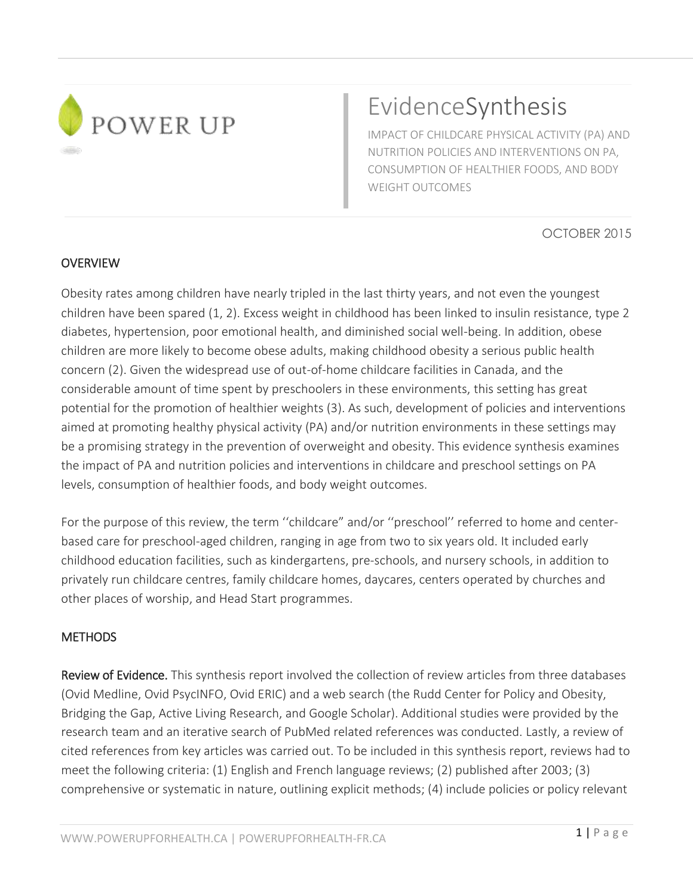

# EvidenceSynthesis

IMPACT OF CHILDCARE PHYSICAL ACTIVITY (PA) AND NUTRITION POLICIES AND INTERVENTIONS ON PA, CONSUMPTION OF HEALTHIER FOODS, AND BODY WEIGHT OUTCOMES

OCTOBER 2015

#### **OVERVIEW**

Obesity rates among children have nearly tripled in the last thirty years, and not even the youngest children have been spared [\(1,](#page-12-0) [2\)](#page-12-1). Excess weight in childhood has been linked to insulin resistance, type 2 diabetes, hypertension, poor emotional health, and diminished social well-being. In addition, obese children are more likely to become obese adults, making childhood obesity a serious public health concern [\(2\)](#page-12-1). Given the widespread use of out-of-home childcare facilities in Canada, and the considerable amount of time spent by preschoolers in these environments, this setting has great potential for the promotion of healthier weights [\(3\)](#page-12-2). As such, development of policies and interventions aimed at promoting healthy physical activity (PA) and/or nutrition environments in these settings may be a promising strategy in the prevention of overweight and obesity. This evidence synthesis examines the impact of PA and nutrition policies and interventions in childcare and preschool settings on PA levels, consumption of healthier foods, and body weight outcomes.

For the purpose of this review, the term ''childcare" and/or ''preschool'' referred to home and centerbased care for preschool-aged children, ranging in age from two to six years old. It included early childhood education facilities, such as kindergartens, pre-schools, and nursery schools, in addition to privately run childcare centres, family childcare homes, daycares, centers operated by churches and other places of worship, and Head Start programmes.

#### **METHODS**

Review of Evidence. This synthesis report involved the collection of review articles from three databases (Ovid Medline, Ovid PsycINFO, Ovid ERIC) and a web search (the Rudd Center for Policy and Obesity, Bridging the Gap, Active Living Research, and Google Scholar). Additional studies were provided by the research team and an iterative search of PubMed related references was conducted. Lastly, a review of cited references from key articles was carried out. To be included in this synthesis report, reviews had to meet the following criteria: (1) English and French language reviews; (2) published after 2003; (3) comprehensive or systematic in nature, outlining explicit methods; (4) include policies or policy relevant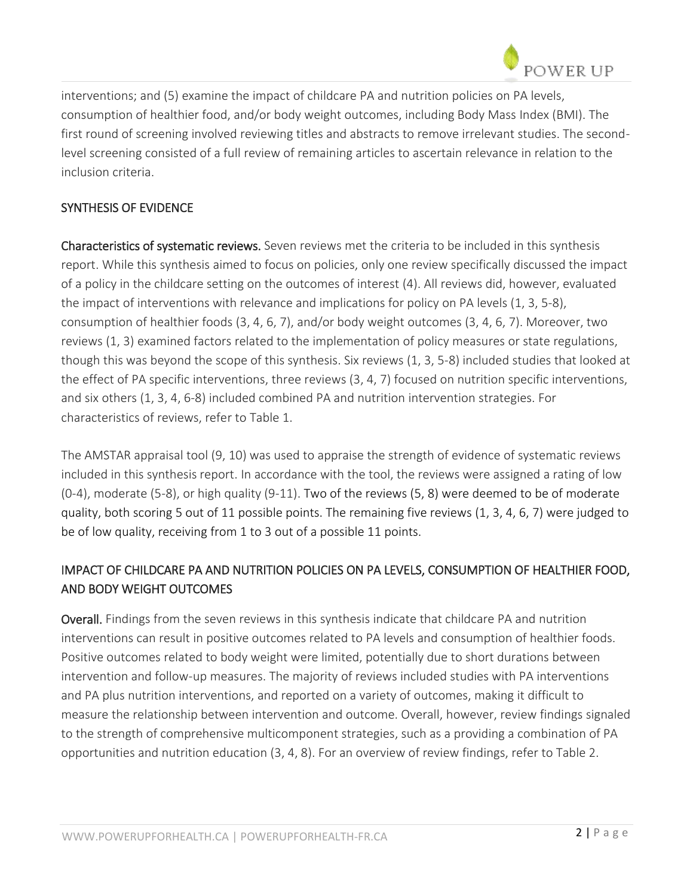interventions; and (5) examine the impact of childcare PA and nutrition policies on PA levels, consumption of healthier food, and/or body weight outcomes, including Body Mass Index (BMI). The first round of screening involved reviewing titles and abstracts to remove irrelevant studies. The secondlevel screening consisted of a full review of remaining articles to ascertain relevance in relation to the inclusion criteria.

### SYNTHESIS OF EVIDENCE

Characteristics of systematic reviews. Seven reviews met the criteria to be included in this synthesis report. While this synthesis aimed to focus on policies, only one review specifically discussed the impact of a policy in the childcare setting on the outcomes of interest [\(4\)](#page-12-3). All reviews did, however, evaluated the impact of interventions with relevance and implications for policy on PA levels [\(1,](#page-12-0) [3,](#page-12-2) [5-8\)](#page-12-4), consumption of healthier foods [\(3,](#page-12-2) [4,](#page-12-3) [6,](#page-12-5) [7\)](#page-12-6), and/or body weight outcomes [\(3,](#page-12-2) [4,](#page-12-3) [6,](#page-12-5) [7\)](#page-12-6). Moreover, two reviews [\(1,](#page-12-0) [3\)](#page-12-2) examined factors related to the implementation of policy measures or state regulations, though this was beyond the scope of this synthesis. Six reviews [\(1,](#page-12-0) [3,](#page-12-2) [5-8\)](#page-12-4) included studies that looked at the effect of PA specific interventions, three reviews [\(3,](#page-12-2) [4,](#page-12-3) [7\)](#page-12-6) focused on nutrition specific interventions, and six others [\(1,](#page-12-0) [3,](#page-12-2) [4,](#page-12-3) [6-8\)](#page-12-5) included combined PA and nutrition intervention strategies. For characteristics of reviews, refer to Table 1.

The AMSTAR appraisal tool [\(9,](#page-12-7) [10\)](#page-12-8) was used to appraise the strength of evidence of systematic reviews included in this synthesis report. In accordance with the tool, the reviews were assigned a rating of low (0-4), moderate (5-8), or high quality (9-11). Two of the reviews [\(5,](#page-12-4) [8\)](#page-12-9) were deemed to be of moderate quality, both scoring 5 out of 11 possible points. The remaining five reviews [\(1,](#page-12-0) [3,](#page-12-2) [4,](#page-12-3) [6,](#page-12-5) [7\)](#page-12-6) were judged to be of low quality, receiving from 1 to 3 out of a possible 11 points.

## IMPACT OF CHILDCARE PA AND NUTRITION POLICIES ON PA LEVELS, CONSUMPTION OF HEALTHIER FOOD, AND BODY WEIGHT OUTCOMES

Overall. Findings from the seven reviews in this synthesis indicate that childcare PA and nutrition interventions can result in positive outcomes related to PA levels and consumption of healthier foods. Positive outcomes related to body weight were limited, potentially due to short durations between intervention and follow-up measures. The majority of reviews included studies with PA interventions and PA plus nutrition interventions, and reported on a variety of outcomes, making it difficult to measure the relationship between intervention and outcome. Overall, however, review findings signaled to the strength of comprehensive multicomponent strategies, such as a providing a combination of PA opportunities and nutrition education [\(3,](#page-12-2) [4,](#page-12-3) [8\)](#page-12-9). For an overview of review findings, refer to Table 2.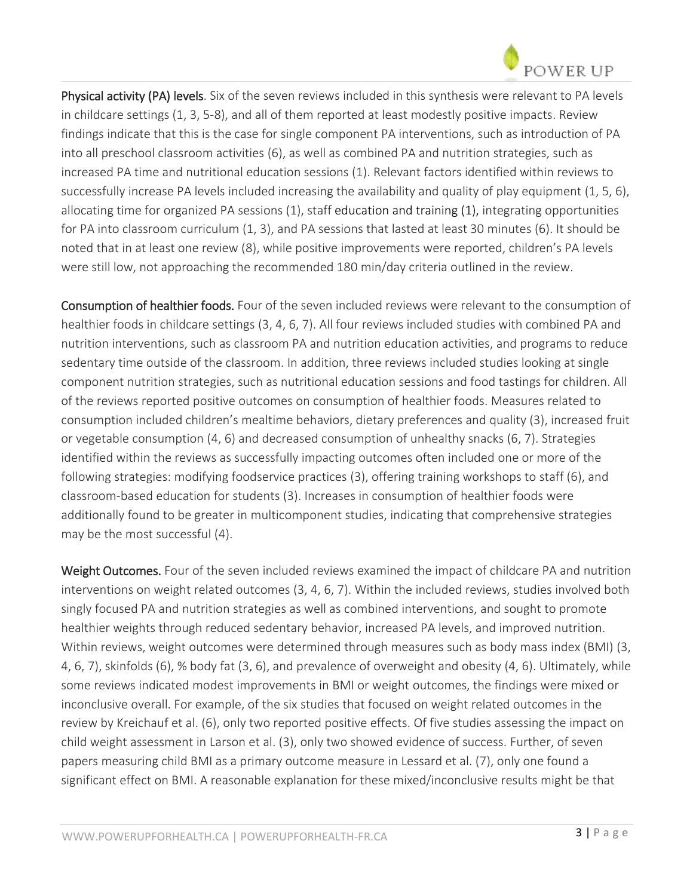

Physical activity (PA) levels. Six of the seven reviews included in this synthesis were relevant to PA levels in childcare settings [\(1,](#page-12-0) [3,](#page-12-2) [5-8\)](#page-12-4), and all of them reported at least modestly positive impacts. Review findings indicate that this is the case for single component PA interventions, such as introduction of PA into all preschool classroom activities [\(6\)](#page-12-5), as well as combined PA and nutrition strategies, such as increased PA time and nutritional education sessions [\(1\)](#page-12-0). Relevant factors identified within reviews to successfully increase PA levels included increasing the availability and quality of play equipment [\(1,](#page-12-0) [5,](#page-12-4) [6\)](#page-12-5), allocating time for organized PA sessions [\(1\)](#page-12-0), staff education and training [\(1\)](#page-12-0), integrating opportunities for PA into classroom curriculum [\(1,](#page-12-0) [3\)](#page-12-2), and PA sessions that lasted at least 30 minutes [\(6\)](#page-12-5). It should be noted that in at least one review [\(8\)](#page-12-9), while positive improvements were reported, children's PA levels were still low, not approaching the recommended 180 min/day criteria outlined in the review.

Consumption of healthier foods. Four of the seven included reviews were relevant to the consumption of healthier foods in childcare settings [\(3,](#page-12-2) [4,](#page-12-3) [6,](#page-12-5) [7\)](#page-12-6). All four reviews included studies with combined PA and nutrition interventions, such as classroom PA and nutrition education activities, and programs to reduce sedentary time outside of the classroom. In addition, three reviews included studies looking at single component nutrition strategies, such as nutritional education sessions and food tastings for children. All of the reviews reported positive outcomes on consumption of healthier foods. Measures related to consumption included children's mealtime behaviors, dietary preferences and quality [\(3\)](#page-12-2), increased fruit or vegetable consumption [\(4,](#page-12-3) [6\)](#page-12-5) and decreased consumption of unhealthy snacks [\(6,](#page-12-5) [7\)](#page-12-6). Strategies identified within the reviews as successfully impacting outcomes often included one or more of the following strategies: modifying foodservice practices [\(3\)](#page-12-2), offering training workshops to staff [\(6\)](#page-12-5), and classroom-based education for students [\(3\)](#page-12-2). Increases in consumption of healthier foods were additionally found to be greater in multicomponent studies, indicating that comprehensive strategies may be the most successful [\(4\)](#page-12-3).

Weight Outcomes. Four of the seven included reviews examined the impact of childcare PA and nutrition interventions on weight related outcomes [\(3,](#page-12-2) [4,](#page-12-3) [6,](#page-12-5) [7\)](#page-12-6). Within the included reviews, studies involved both singly focused PA and nutrition strategies as well as combined interventions, and sought to promote healthier weights through reduced sedentary behavior, increased PA levels, and improved nutrition. Within reviews, weight outcomes were determined through measures such as body mass index (BMI) [\(3,](#page-12-2) [4,](#page-12-3) [6,](#page-12-5) [7\)](#page-12-6), skinfolds [\(6\)](#page-12-5), % body fat [\(3,](#page-12-2) [6\)](#page-12-5), and prevalence of overweight and obesity [\(4,](#page-12-3) [6\)](#page-12-5). Ultimately, while some reviews indicated modest improvements in BMI or weight outcomes, the findings were mixed or inconclusive overall. For example, of the six studies that focused on weight related outcomes in the review by Kreichauf et al. [\(6\)](#page-12-5), only two reported positive effects. Of five studies assessing the impact on child weight assessment in Larson et al. [\(3\)](#page-12-2), only two showed evidence of success. Further, of seven papers measuring child BMI as a primary outcome measure in Lessard et al. [\(7\)](#page-12-6), only one found a significant effect on BMI. A reasonable explanation for these mixed/inconclusive results might be that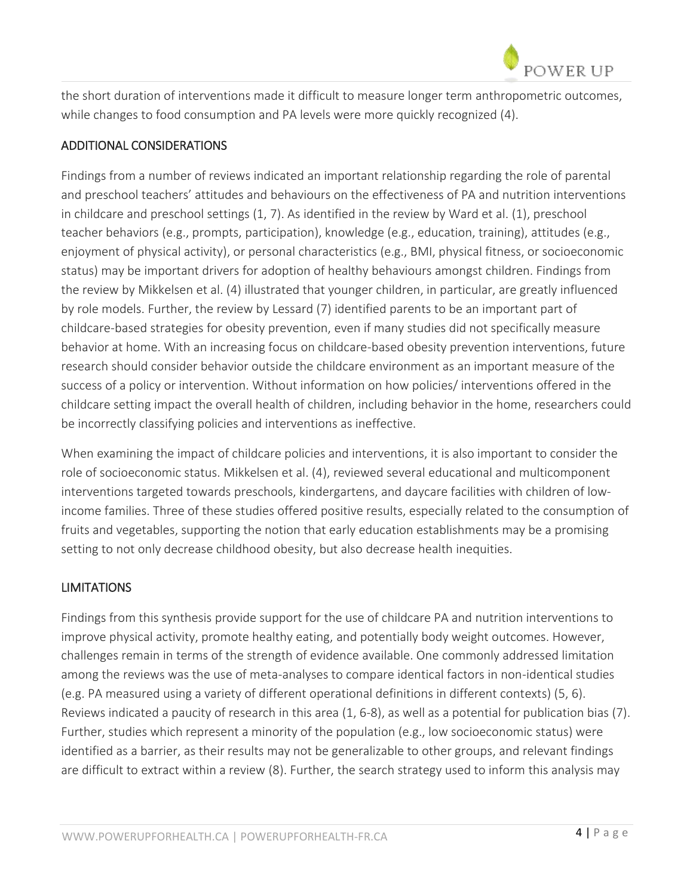

the short duration of interventions made it difficult to measure longer term anthropometric outcomes, while changes to food consumption and PA levels were more quickly recognized [\(4\)](#page-12-3).

#### ADDITIONAL CONSIDERATIONS

Findings from a number of reviews indicated an important relationship regarding the role of parental and preschool teachers' attitudes and behaviours on the effectiveness of PA and nutrition interventions in childcare and preschool settings [\(1,](#page-12-0) [7\)](#page-12-6). As identified in the review by Ward et al. [\(1\)](#page-12-0), preschool teacher behaviors (e.g., prompts, participation), knowledge (e.g., education, training), attitudes (e.g., enjoyment of physical activity), or personal characteristics (e.g., BMI, physical fitness, or socioeconomic status) may be important drivers for adoption of healthy behaviours amongst children. Findings from the review by Mikkelsen et al. [\(4\)](#page-12-3) illustrated that younger children, in particular, are greatly influenced by role models. Further, the review by Lessard [\(7\)](#page-12-6) identified parents to be an important part of childcare-based strategies for obesity prevention, even if many studies did not specifically measure behavior at home. With an increasing focus on childcare-based obesity prevention interventions, future research should consider behavior outside the childcare environment as an important measure of the success of a policy or intervention. Without information on how policies/ interventions offered in the childcare setting impact the overall health of children, including behavior in the home, researchers could be incorrectly classifying policies and interventions as ineffective.

When examining the impact of childcare policies and interventions, it is also important to consider the role of socioeconomic status. Mikkelsen et al. [\(4\)](#page-12-3), reviewed several educational and multicomponent interventions targeted towards preschools, kindergartens, and daycare facilities with children of lowincome families. Three of these studies offered positive results, especially related to the consumption of fruits and vegetables, supporting the notion that early education establishments may be a promising setting to not only decrease childhood obesity, but also decrease health inequities.

#### LIMITATIONS

Findings from this synthesis provide support for the use of childcare PA and nutrition interventions to improve physical activity, promote healthy eating, and potentially body weight outcomes. However, challenges remain in terms of the strength of evidence available. One commonly addressed limitation among the reviews was the use of meta-analyses to compare identical factors in non-identical studies (e.g. PA measured using a variety of different operational definitions in different contexts) [\(5,](#page-12-4) [6\)](#page-12-5). Reviews indicated a paucity of research in this area [\(1,](#page-12-0) [6-8\)](#page-12-5), as well as a potential for publication bias [\(7\)](#page-12-6). Further, studies which represent a minority of the population (e.g., low socioeconomic status) were identified as a barrier, as their results may not be generalizable to other groups, and relevant findings are difficult to extract within a review [\(8\)](#page-12-9). Further, the search strategy used to inform this analysis may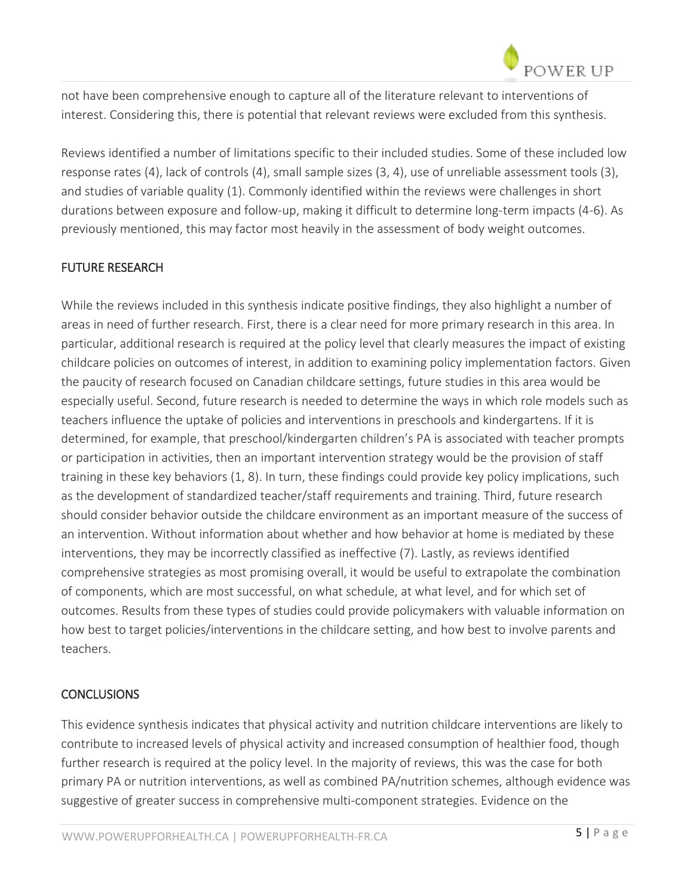not have been comprehensive enough to capture all of the literature relevant to interventions of interest. Considering this, there is potential that relevant reviews were excluded from this synthesis.

Reviews identified a number of limitations specific to their included studies. Some of these included low response rates [\(4\)](#page-12-3), lack of controls [\(4\)](#page-12-3), small sample sizes [\(3,](#page-12-2) [4\)](#page-12-3), use of unreliable assessment tools [\(3\)](#page-12-2), and studies of variable quality [\(1\)](#page-12-0). Commonly identified within the reviews were challenges in short durations between exposure and follow-up, making it difficult to determine long-term impacts [\(4-6\)](#page-12-3). As previously mentioned, this may factor most heavily in the assessment of body weight outcomes.

## FUTURE RESEARCH

While the reviews included in this synthesis indicate positive findings, they also highlight a number of areas in need of further research. First, there is a clear need for more primary research in this area. In particular, additional research is required at the policy level that clearly measures the impact of existing childcare policies on outcomes of interest, in addition to examining policy implementation factors. Given the paucity of research focused on Canadian childcare settings, future studies in this area would be especially useful. Second, future research is needed to determine the ways in which role models such as teachers influence the uptake of policies and interventions in preschools and kindergartens. If it is determined, for example, that preschool/kindergarten children's PA is associated with teacher prompts or participation in activities, then an important intervention strategy would be the provision of staff training in these key behaviors [\(1,](#page-12-0) [8\)](#page-12-9). In turn, these findings could provide key policy implications, such as the development of standardized teacher/staff requirements and training. Third, future research should consider behavior outside the childcare environment as an important measure of the success of an intervention. Without information about whether and how behavior at home is mediated by these interventions, they may be incorrectly classified as ineffective [\(7\)](#page-12-6). Lastly, as reviews identified comprehensive strategies as most promising overall, it would be useful to extrapolate the combination of components, which are most successful, on what schedule, at what level, and for which set of outcomes. Results from these types of studies could provide policymakers with valuable information on how best to target policies/interventions in the childcare setting, and how best to involve parents and teachers.

#### **CONCLUSIONS**

This evidence synthesis indicates that physical activity and nutrition childcare interventions are likely to contribute to increased levels of physical activity and increased consumption of healthier food, though further research is required at the policy level. In the majority of reviews, this was the case for both primary PA or nutrition interventions, as well as combined PA/nutrition schemes, although evidence was suggestive of greater success in comprehensive multi-component strategies. Evidence on the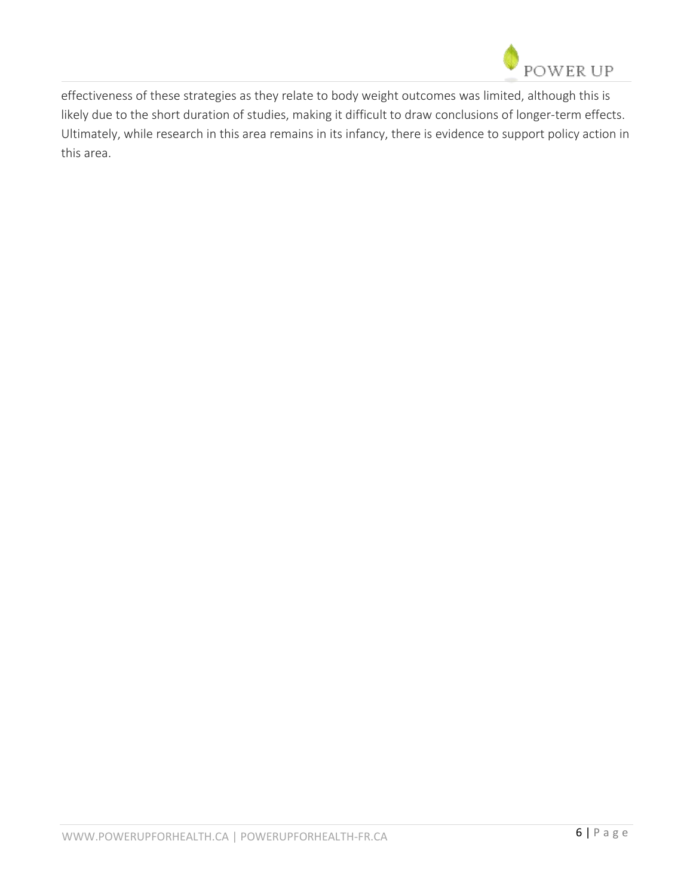

effectiveness of these strategies as they relate to body weight outcomes was limited, although this is likely due to the short duration of studies, making it difficult to draw conclusions of longer-term effects. Ultimately, while research in this area remains in its infancy, there is evidence to support policy action in this area.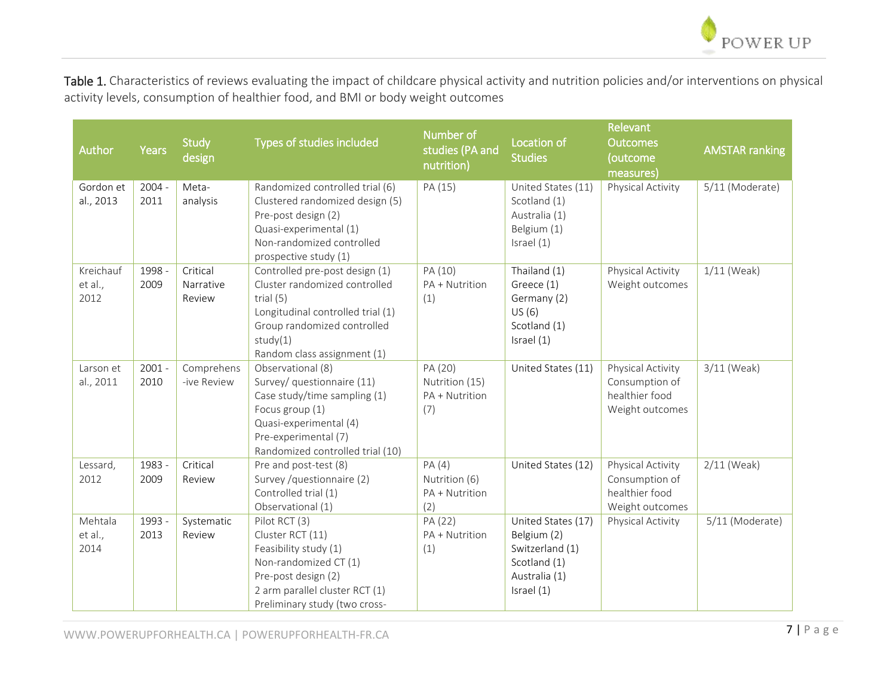

Table 1. Characteristics of reviews evaluating the impact of childcare physical activity and nutrition policies and/or interventions on physical activity levels, consumption of healthier food, and BMI or body weight outcomes

| Author                       | <b>Years</b>     | <b>Study</b><br>design          | Types of studies included                                                                                                                                                                     | Number of<br>studies (PA and<br>nutrition)         | Location of<br><b>Studies</b>                                                                       | Relevant<br><b>Outcomes</b><br>(outcome                                  | <b>AMSTAR ranking</b> |
|------------------------------|------------------|---------------------------------|-----------------------------------------------------------------------------------------------------------------------------------------------------------------------------------------------|----------------------------------------------------|-----------------------------------------------------------------------------------------------------|--------------------------------------------------------------------------|-----------------------|
|                              |                  |                                 |                                                                                                                                                                                               |                                                    |                                                                                                     | measures)                                                                |                       |
| Gordon et<br>al., 2013       | $2004 -$<br>2011 | Meta-<br>analysis               | Randomized controlled trial (6)<br>Clustered randomized design (5)<br>Pre-post design (2)<br>Quasi-experimental (1)<br>Non-randomized controlled<br>prospective study (1)                     | PA (15)                                            | United States (11)<br>Scotland (1)<br>Australia (1)<br>Belgium (1)<br>Israel (1)                    | Physical Activity                                                        | 5/11 (Moderate)       |
| Kreichauf<br>et al.,<br>2012 | 1998 -<br>2009   | Critical<br>Narrative<br>Review | Controlled pre-post design (1)<br>Cluster randomized controlled<br>trial $(5)$<br>Longitudinal controlled trial (1)<br>Group randomized controlled<br>study(1)<br>Random class assignment (1) | PA (10)<br>PA + Nutrition<br>(1)                   | Thailand (1)<br>Greece (1)<br>Germany (2)<br>US(6)<br>Scotland (1)<br>Israel (1)                    | Physical Activity<br>Weight outcomes                                     | $1/11$ (Weak)         |
| Larson et<br>al., 2011       | $2001 -$<br>2010 | Comprehens<br>-ive Review       | Observational (8)<br>Survey/ questionnaire (11)<br>Case study/time sampling (1)<br>Focus group (1)<br>Quasi-experimental (4)<br>Pre-experimental (7)<br>Randomized controlled trial (10)      | PA (20)<br>Nutrition (15)<br>PA + Nutrition<br>(7) | United States (11)                                                                                  | Physical Activity<br>Consumption of<br>healthier food<br>Weight outcomes | 3/11 (Weak)           |
| Lessard,<br>2012             | 1983 -<br>2009   | Critical<br>Review              | Pre and post-test (8)<br>Survey /questionnaire (2)<br>Controlled trial (1)<br>Observational (1)                                                                                               | PA(4)<br>Nutrition (6)<br>PA + Nutrition<br>(2)    | United States (12)                                                                                  | Physical Activity<br>Consumption of<br>healthier food<br>Weight outcomes | $2/11$ (Weak)         |
| Mehtala<br>et al.,<br>2014   | 1993 -<br>2013   | Systematic<br>Review            | Pilot RCT (3)<br>Cluster RCT (11)<br>Feasibility study (1)<br>Non-randomized CT (1)<br>Pre-post design (2)<br>2 arm parallel cluster RCT (1)<br>Preliminary study (two cross-                 | PA (22)<br>PA + Nutrition<br>(1)                   | United States (17)<br>Belgium (2)<br>Switzerland (1)<br>Scotland (1)<br>Australia (1)<br>Israel (1) | Physical Activity                                                        | 5/11 (Moderate)       |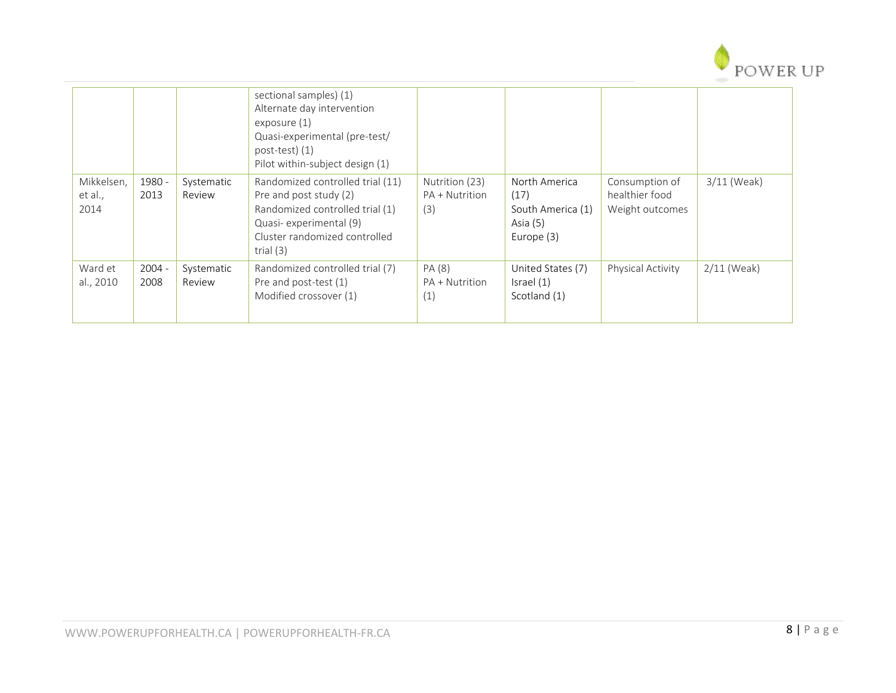

|                               |                  |                      | sectional samples) (1)<br>Alternate day intervention<br>exposure $(1)$<br>Quasi-experimental (pre-test/<br>$post-test)$ (1)<br>Pilot within-subject design (1)          |                                         |                                                                      |                                                     |               |
|-------------------------------|------------------|----------------------|-------------------------------------------------------------------------------------------------------------------------------------------------------------------------|-----------------------------------------|----------------------------------------------------------------------|-----------------------------------------------------|---------------|
| Mikkelsen,<br>et al.,<br>2014 | 1980 -<br>2013   | Systematic<br>Review | Randomized controlled trial (11)<br>Pre and post study (2)<br>Randomized controlled trial (1)<br>Quasi-experimental (9)<br>Cluster randomized controlled<br>trial $(3)$ | Nutrition (23)<br>PA + Nutrition<br>(3) | North America<br>(17)<br>South America (1)<br>Asia (5)<br>Europe (3) | Consumption of<br>healthier food<br>Weight outcomes | $3/11$ (Weak) |
| Ward et<br>al., 2010          | $2004 -$<br>2008 | Systematic<br>Review | Randomized controlled trial (7)<br>Pre and post-test (1)<br>Modified crossover (1)                                                                                      | PA (8)<br>PA + Nutrition<br>(1)         | United States (7)<br>Israel (1)<br>Scotland (1)                      | Physical Activity                                   | $2/11$ (Weak) |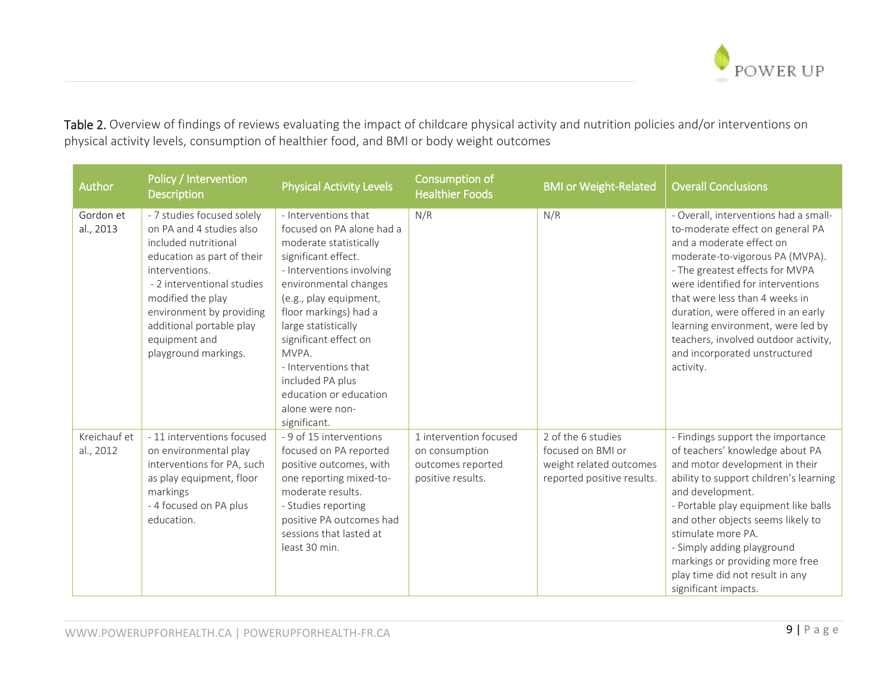

Table 2. Overview of findings of reviews evaluating the impact of childcare physical activity and nutrition policies and/or interventions on physical activity levels, consumption of healthier food, and BMI or body weight outcomes

| Author                    | Policy / Intervention<br><b>Description</b>                                                                                                                                                                                                                                        | <b>Physical Activity Levels</b>                                                                                                                                                                                                                                                                                                                                               | Consumption of<br><b>Healthier Foods</b>                                           | <b>BMI or Weight-Related</b>                                                                     | <b>Overall Conclusions</b>                                                                                                                                                                                                                                                                                                                                                                                          |
|---------------------------|------------------------------------------------------------------------------------------------------------------------------------------------------------------------------------------------------------------------------------------------------------------------------------|-------------------------------------------------------------------------------------------------------------------------------------------------------------------------------------------------------------------------------------------------------------------------------------------------------------------------------------------------------------------------------|------------------------------------------------------------------------------------|--------------------------------------------------------------------------------------------------|---------------------------------------------------------------------------------------------------------------------------------------------------------------------------------------------------------------------------------------------------------------------------------------------------------------------------------------------------------------------------------------------------------------------|
| Gordon et<br>al., 2013    | - 7 studies focused solely<br>on PA and 4 studies also<br>included nutritional<br>education as part of their<br>interventions.<br>- 2 interventional studies<br>modified the play<br>environment by providing<br>additional portable play<br>equipment and<br>playground markings. | - Interventions that<br>focused on PA alone had a<br>moderate statistically<br>significant effect.<br>- Interventions involving<br>environmental changes<br>(e.g., play equipment,<br>floor markings) had a<br>large statistically<br>significant effect on<br>MVPA.<br>- Interventions that<br>included PA plus<br>education or education<br>alone were non-<br>significant. | N/R                                                                                | N/R                                                                                              | - Overall, interventions had a small-<br>to-moderate effect on general PA<br>and a moderate effect on<br>moderate-to-vigorous PA (MVPA).<br>- The greatest effects for MVPA<br>were identified for interventions<br>that were less than 4 weeks in<br>duration, were offered in an early<br>learning environment, were led by<br>teachers, involved outdoor activity,<br>and incorporated unstructured<br>activity. |
| Kreichauf et<br>al., 2012 | - 11 interventions focused<br>on environmental play<br>interventions for PA, such<br>as play equipment, floor<br>markings<br>- 4 focused on PA plus<br>education.                                                                                                                  | - 9 of 15 interventions<br>focused on PA reported<br>positive outcomes, with<br>one reporting mixed-to-<br>moderate results.<br>- Studies reporting<br>positive PA outcomes had<br>sessions that lasted at<br>least 30 min.                                                                                                                                                   | 1 intervention focused<br>on consumption<br>outcomes reported<br>positive results. | 2 of the 6 studies<br>focused on BMI or<br>weight related outcomes<br>reported positive results. | - Findings support the importance<br>of teachers' knowledge about PA<br>and motor development in their<br>ability to support children's learning<br>and development.<br>- Portable play equipment like balls<br>and other objects seems likely to<br>stimulate more PA.<br>- Simply adding playground<br>markings or providing more free<br>play time did not result in any<br>significant impacts.                 |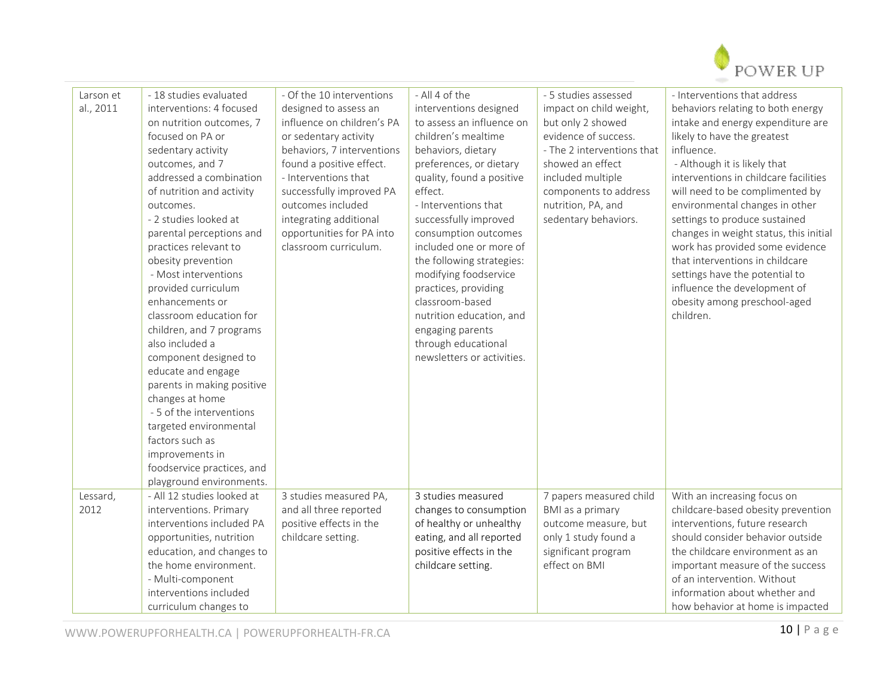

| Larson et | - 18 studies evaluated     | - Of the 10 interventions  | - All 4 of the             | - 5 studies assessed       | - Interventions that address           |
|-----------|----------------------------|----------------------------|----------------------------|----------------------------|----------------------------------------|
| al., 2011 | interventions: 4 focused   | designed to assess an      | interventions designed     | impact on child weight,    | behaviors relating to both energy      |
|           | on nutrition outcomes, 7   | influence on children's PA | to assess an influence on  | but only 2 showed          | intake and energy expenditure are      |
|           | focused on PA or           | or sedentary activity      | children's mealtime        | evidence of success.       | likely to have the greatest            |
|           | sedentary activity         | behaviors, 7 interventions | behaviors, dietary         | - The 2 interventions that | influence.                             |
|           | outcomes, and 7            | found a positive effect.   | preferences, or dietary    | showed an effect           | - Although it is likely that           |
|           | addressed a combination    | - Interventions that       | quality, found a positive  | included multiple          | interventions in childcare facilities  |
|           | of nutrition and activity  | successfully improved PA   | effect.                    | components to address      | will need to be complimented by        |
|           | outcomes.                  | outcomes included          | - Interventions that       | nutrition, PA, and         | environmental changes in other         |
|           | - 2 studies looked at      | integrating additional     | successfully improved      | sedentary behaviors.       | settings to produce sustained          |
|           | parental perceptions and   | opportunities for PA into  | consumption outcomes       |                            | changes in weight status, this initial |
|           | practices relevant to      | classroom curriculum.      | included one or more of    |                            | work has provided some evidence        |
|           | obesity prevention         |                            | the following strategies:  |                            | that interventions in childcare        |
|           | - Most interventions       |                            | modifying foodservice      |                            | settings have the potential to         |
|           | provided curriculum        |                            | practices, providing       |                            | influence the development of           |
|           | enhancements or            |                            | classroom-based            |                            | obesity among preschool-aged           |
|           | classroom education for    |                            | nutrition education, and   |                            | children.                              |
|           | children, and 7 programs   |                            | engaging parents           |                            |                                        |
|           | also included a            |                            | through educational        |                            |                                        |
|           | component designed to      |                            | newsletters or activities. |                            |                                        |
|           | educate and engage         |                            |                            |                            |                                        |
|           | parents in making positive |                            |                            |                            |                                        |
|           | changes at home            |                            |                            |                            |                                        |
|           | - 5 of the interventions   |                            |                            |                            |                                        |
|           | targeted environmental     |                            |                            |                            |                                        |
|           | factors such as            |                            |                            |                            |                                        |
|           | improvements in            |                            |                            |                            |                                        |
|           | foodservice practices, and |                            |                            |                            |                                        |
|           | playground environments.   |                            |                            |                            |                                        |
| Lessard,  | - All 12 studies looked at | 3 studies measured PA,     | 3 studies measured         | 7 papers measured child    | With an increasing focus on            |
| 2012      | interventions. Primary     | and all three reported     | changes to consumption     | BMI as a primary           | childcare-based obesity prevention     |
|           | interventions included PA  | positive effects in the    | of healthy or unhealthy    | outcome measure, but       | interventions, future research         |
|           | opportunities, nutrition   | childcare setting.         | eating, and all reported   | only 1 study found a       | should consider behavior outside       |
|           | education, and changes to  |                            | positive effects in the    | significant program        | the childcare environment as an        |
|           | the home environment.      |                            | childcare setting.         | effect on BMI              | important measure of the success       |
|           | - Multi-component          |                            |                            |                            | of an intervention. Without            |
|           | interventions included     |                            |                            |                            | information about whether and          |
|           | curriculum changes to      |                            |                            |                            | how behavior at home is impacted       |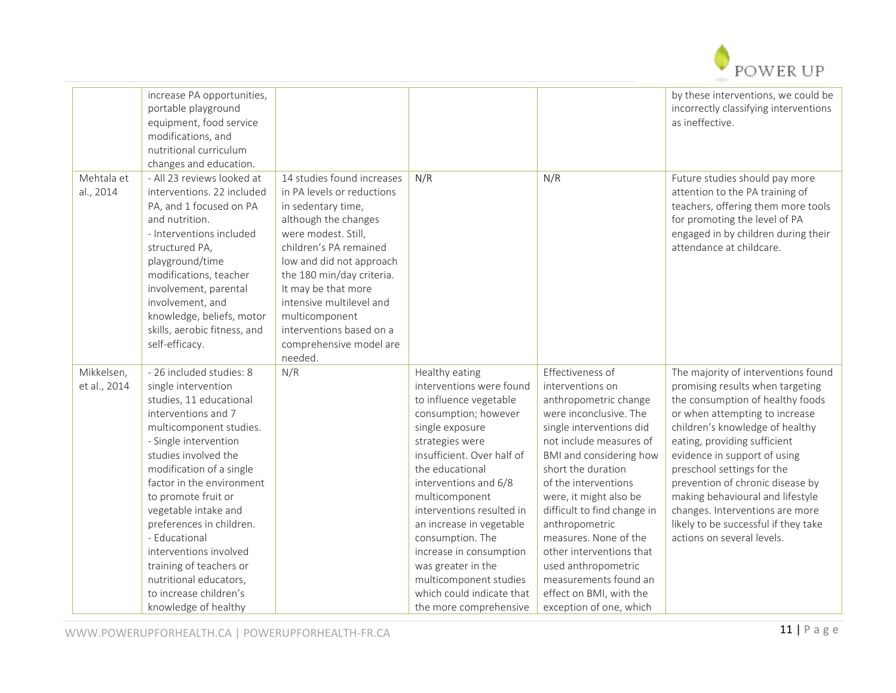

|                         | increase PA opportunities,<br>portable playground<br>equipment, food service<br>modifications, and<br>nutritional curriculum<br>changes and education.                                                                                                                                                                       |                                                                                                                                                                                                                                                                                                                                                         |                                               |                                               | by these interventions, we could be<br>incorrectly classifying interventions<br>as ineffective.                                                                                                             |
|-------------------------|------------------------------------------------------------------------------------------------------------------------------------------------------------------------------------------------------------------------------------------------------------------------------------------------------------------------------|---------------------------------------------------------------------------------------------------------------------------------------------------------------------------------------------------------------------------------------------------------------------------------------------------------------------------------------------------------|-----------------------------------------------|-----------------------------------------------|-------------------------------------------------------------------------------------------------------------------------------------------------------------------------------------------------------------|
| Mehtala et<br>al., 2014 | - All 23 reviews looked at<br>interventions. 22 included<br>PA, and 1 focused on PA<br>and nutrition.<br>- Interventions included<br>structured PA,<br>playground/time<br>modifications, teacher<br>involvement, parental<br>involvement, and<br>knowledge, beliefs, motor<br>skills, aerobic fitness, and<br>self-efficacy. | 14 studies found increases<br>in PA levels or reductions<br>in sedentary time,<br>although the changes<br>were modest. Still,<br>children's PA remained<br>low and did not approach<br>the 180 min/day criteria.<br>It may be that more<br>intensive multilevel and<br>multicomponent<br>interventions based on a<br>comprehensive model are<br>needed. | N/R                                           | N/R                                           | Future studies should pay more<br>attention to the PA training of<br>teachers, offering them more tools<br>for promoting the level of PA<br>engaged in by children during their<br>attendance at childcare. |
| Mikkelsen,              | - 26 included studies: 8                                                                                                                                                                                                                                                                                                     | N/R                                                                                                                                                                                                                                                                                                                                                     | Healthy eating                                | Effectiveness of                              | The majority of interventions found                                                                                                                                                                         |
| et al., 2014            | single intervention                                                                                                                                                                                                                                                                                                          |                                                                                                                                                                                                                                                                                                                                                         | interventions were found                      | interventions on                              | promising results when targeting                                                                                                                                                                            |
|                         | studies, 11 educational                                                                                                                                                                                                                                                                                                      |                                                                                                                                                                                                                                                                                                                                                         | to influence vegetable                        | anthropometric change                         | the consumption of healthy foods                                                                                                                                                                            |
|                         | interventions and 7                                                                                                                                                                                                                                                                                                          |                                                                                                                                                                                                                                                                                                                                                         | consumption; however                          | were inconclusive. The                        | or when attempting to increase                                                                                                                                                                              |
|                         | multicomponent studies.                                                                                                                                                                                                                                                                                                      |                                                                                                                                                                                                                                                                                                                                                         | single exposure                               | single interventions did                      | children's knowledge of healthy                                                                                                                                                                             |
|                         | - Single intervention                                                                                                                                                                                                                                                                                                        |                                                                                                                                                                                                                                                                                                                                                         | strategies were                               | not include measures of                       | eating, providing sufficient                                                                                                                                                                                |
|                         | studies involved the<br>modification of a single                                                                                                                                                                                                                                                                             |                                                                                                                                                                                                                                                                                                                                                         | insufficient. Over half of<br>the educational | BMI and considering how<br>short the duration | evidence in support of using<br>preschool settings for the                                                                                                                                                  |
|                         | factor in the environment                                                                                                                                                                                                                                                                                                    |                                                                                                                                                                                                                                                                                                                                                         | interventions and 6/8                         | of the interventions                          | prevention of chronic disease by                                                                                                                                                                            |
|                         | to promote fruit or                                                                                                                                                                                                                                                                                                          |                                                                                                                                                                                                                                                                                                                                                         | multicomponent                                | were, it might also be                        | making behavioural and lifestyle                                                                                                                                                                            |
|                         | vegetable intake and                                                                                                                                                                                                                                                                                                         |                                                                                                                                                                                                                                                                                                                                                         | interventions resulted in                     | difficult to find change in                   | changes. Interventions are more                                                                                                                                                                             |
|                         | preferences in children.                                                                                                                                                                                                                                                                                                     |                                                                                                                                                                                                                                                                                                                                                         | an increase in vegetable                      | anthropometric                                | likely to be successful if they take                                                                                                                                                                        |
|                         | - Educational                                                                                                                                                                                                                                                                                                                |                                                                                                                                                                                                                                                                                                                                                         | consumption. The                              | measures. None of the                         | actions on several levels.                                                                                                                                                                                  |
|                         | interventions involved                                                                                                                                                                                                                                                                                                       |                                                                                                                                                                                                                                                                                                                                                         | increase in consumption                       | other interventions that                      |                                                                                                                                                                                                             |
|                         | training of teachers or                                                                                                                                                                                                                                                                                                      |                                                                                                                                                                                                                                                                                                                                                         | was greater in the                            | used anthropometric                           |                                                                                                                                                                                                             |
|                         | nutritional educators,                                                                                                                                                                                                                                                                                                       |                                                                                                                                                                                                                                                                                                                                                         | multicomponent studies                        | measurements found an                         |                                                                                                                                                                                                             |
|                         | to increase children's                                                                                                                                                                                                                                                                                                       |                                                                                                                                                                                                                                                                                                                                                         | which could indicate that                     | effect on BMI, with the                       |                                                                                                                                                                                                             |
|                         | knowledge of healthy                                                                                                                                                                                                                                                                                                         |                                                                                                                                                                                                                                                                                                                                                         | the more comprehensive                        | exception of one, which                       |                                                                                                                                                                                                             |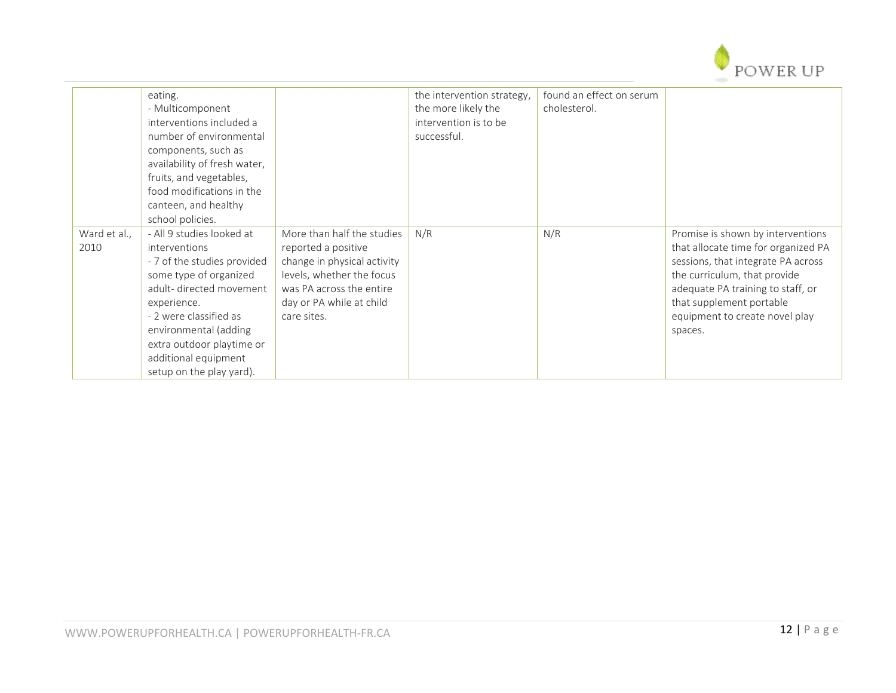

|                      | eating.<br>- Multicomponent<br>interventions included a<br>number of environmental<br>components, such as<br>availability of fresh water,<br>fruits, and vegetables,<br>food modifications in the<br>canteen, and healthy<br>school policies.                                     |                                                                                                                                                                                      | the intervention strategy,<br>the more likely the<br>intervention is to be<br>successful. | found an effect on serum<br>cholesterol. |                                                                                                                                                                                                                                                              |
|----------------------|-----------------------------------------------------------------------------------------------------------------------------------------------------------------------------------------------------------------------------------------------------------------------------------|--------------------------------------------------------------------------------------------------------------------------------------------------------------------------------------|-------------------------------------------------------------------------------------------|------------------------------------------|--------------------------------------------------------------------------------------------------------------------------------------------------------------------------------------------------------------------------------------------------------------|
| Ward et al.,<br>2010 | - All 9 studies looked at<br>interventions<br>- 7 of the studies provided<br>some type of organized<br>adult-directed movement<br>experience.<br>- 2 were classified as<br>environmental (adding<br>extra outdoor playtime or<br>additional equipment<br>setup on the play yard). | More than half the studies<br>reported a positive<br>change in physical activity<br>levels, whether the focus<br>was PA across the entire<br>day or PA while at child<br>care sites. | N/R                                                                                       | N/R                                      | Promise is shown by interventions<br>that allocate time for organized PA<br>sessions, that integrate PA across<br>the curriculum, that provide<br>adequate PA training to staff, or<br>that supplement portable<br>equipment to create novel play<br>spaces. |